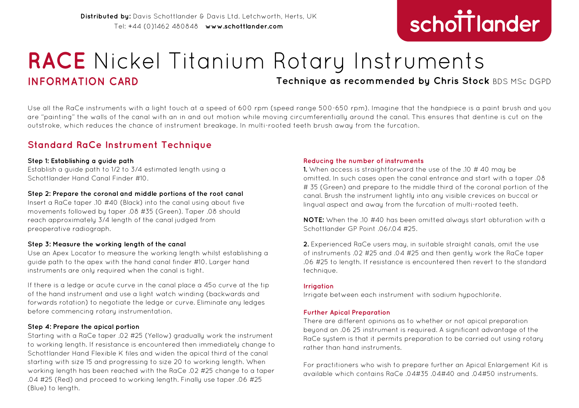# schottlander **improving dentistry together**

## **RACE** Nickel Titanium Rotary Instruments **INFORMATION CARD Technique as recommended by Chris Stock** BDS MSc DGPD

Use all the RaCe instruments with a light touch at a speed of 600 rpm (speed range 500-650 rpm). Imagine that the handpiece is a paint brush and you are "painting" the walls of the canal with an in and out motion while moving circumferentially around the canal. This ensures that dentine is cut on the outstroke, which reduces the chance of instrument breakage. In multi-rooted teeth brush away from the furcation.

### **Standard RaCe Instrument Technique**

#### **Step 1: Establishing a guide path**

Establish a guide path to 1/2 to 3/4 estimated length using a Schottlander Hand Canal Finder #10.

#### **Step 2: Prepare the coronal and middle portions of the root canal**

Insert a RaCe taper .10 #40 (Black) into the canal using about five movements followed by taper .08 #35 (Green). Taper .08 should reach approximately 3/4 length of the canal judged from preoperative radiograph.

#### **Step 3: Measure the working length of the canal**

Use an Apex Locator to measure the working length whilst establishing a guide path to the apex with the hand canal finder #10. Larger hand instruments are only required when the canal is tight.

If there is a ledge or acute curve in the canal place a 45o curve at the tip of the hand instrument and use a light watch winding (backwards and forwards rotation) to negotiate the ledge or curve. Eliminate any ledges before commencing rotary instrumentation.

#### **Step 4: Prepare the apical portion**

Starting with a RaCe taper .02 #25 (Yellow) gradually work the instrument to working length. If resistance is encountered then immediately change to Schottlander Hand Flexible K files and widen the apical third of the canal starting with size 15 and progressing to size 20 to working length. When working length has been reached with the RaCe .02 #25 change to a taper .04 #25 (Red) and proceed to working length. Finally use taper .06 #25 (Blue) to length.

#### **Reducing the number of instruments**

**1.** When access is straightforward the use of the .10 # 40 may be omitted. In such cases open the canal entrance and start with a taper .08 # 35 (Green) and prepare to the middle third of the coronal portion of the canal. Brush the instrument lightly into any visible crevices on buccal or lingual aspect and away from the furcation of multi-rooted teeth.

**NOTE:** When the .10 #40 has been omitted always start obturation with a Schottlander GP Point 06/04 #25.

**2.** Experienced RaCe users may, in suitable straight canals, omit the use of instruments .02 #25 and .04 #25 and then gently work the RaCe taper .06 #25 to length. If resistance is encountered then revert to the standard technique.

#### **Irrigation**

Irrigate between each instrument with sodium hypochlorite.

#### **Further Apical Preparation**

There are different opinions as to whether or not apical preparation beyond an .06 25 instrument is required. A significant advantage of the RaCe system is that it permits preparation to be carried out using rotary rather than hand instruments.

For practitioners who wish to prepare further an Apical Enlargement Kit is available which contains RaCe .04#35 .04#40 and .04#50 instruments.